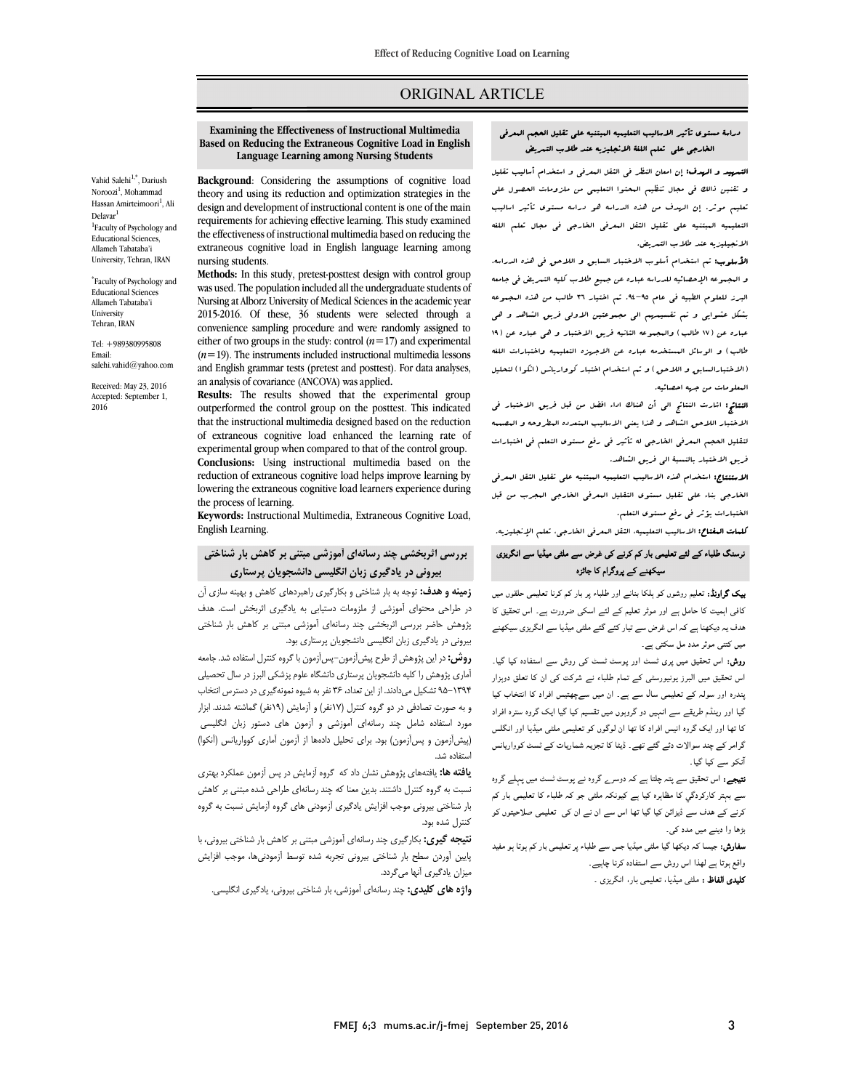## ORIGINAL ARTICLE

# **Examining the Effectiveness of Instructional Multimedia Based on Reducing the Extraneous Cognitive Load in English Language Learning among Nursing Students**

Ī  $\overline{a}$ 

 **Background**: Considering the assumptions of cognitive load theory and using its reduction and optimization strategies in the design and development of instructional content is one of the main<br>requirements for achieving effective learning. This study examined the effectiveness of instructional multimedia based on reducing the extraneous cognitive load in English language learning among design and development of instructional content is one of the main nursing students.

 **Methods:** In this study, pretest-posttest design with control group was used. The population included all the undergraduate students of 2015-2016. Of these, 36 students were selected through a convenience sampling procedure and were randomly assigned to either of two groups in the study: control (*n*=17) and experimental and English grammar tests (pretest and posttest). For data analyses, an analysis of covariance (ANCOVA) was applied**.** Nursing at Alborz University of Medical Sciences in the academic year  $(n=19)$ . The instruments included instructional multimedia lessons

**RESULIS:** THE TESULIS SHOWED THAT THE EXPERIMENTAL GROUP OUTperformed the control group on the posttest. This indicated that the instructional multimedia designed based on the reduction of extraneous cognitive load enhanced the learning rate of **Conclusions:** Using instructional multimedia based on the reduction of extraneous cognitive load helps improve learning by lowering the extraneous cognitive load learners experience during **Results:** The results showed that the experimental group experimental group when compared to that of the control group. the process of learning.

 **Keywords:** Instructional Multimedia, Extraneous Cognitive Load, English Learning.

# **بررسی اثربخشی چند رسانهاي آموزشی مبتنی بر کاهش بار شناختی بیرونی در یادگیري زبان انگلیسی دانشجویان پرستاري**

 **زمینه و هدف:** توجه به بار شناختی و بکارگیري راهبردهاي کاهش و بهینه سازي آن در طراحی محتواي آموزشی از ملزومات دستیابی به یادگیري اثربخش است. هدف پژوهش حاضر بررسی اثربخشی چند رسانهاي آموزشی مبتنی بر کاهش بار شناختی بیرونی در یادگیری زبان انگلیسی دانشجویان پرستاری بود.<br>.

**روش:** در این پژوهش از طرح پیشآزمون-پسآزمون با گروه کنترل استفاده شد. جامعه<br>آرام می این میدان این ماده استفاده این گاه با این کنترل الله می استفاده 95-1394 تشکیل میدادند. از این تعداد، 36 نفر به شیوه نمونهگیري در دسترس انتخاب و به صورت تصادفی در دو گروه کنترل (17نفر) و آزمایش (19نفر) گماشته شدند. ابزار مورد استفاده شامل چند رسانهاي آموزشی و آزمون هاي دستور زبان انگلیسی (پیشآزمون و پسآزمون) بود. براي تحلیل دادهها از آزمون آماري کوواریانس (آنکوا) آماري پژوهش را کلیه دانشجویان پرستاري دانشگاه علوم پزشکی البرز در سال تحصیلی استفاده شد.

 **یافته ها:** یافتههاي پژوهش نشان داد که گروه آزمایش در پس آزمون عملکرد بهتري .<br>. بار شناختی بیرونی موجب افزایش یادگیری آزمودنی های گروه آزمایش نسبت به گروه<br>کته امشدیدد نسبت به گروه کنترل داشتند. بدین معنا که چند رسانهاي طراحی شده مبتنی بر کاهش کنترل شده بود.

 **نتیجه گیري:** بکارگیري چند رسانهاي آموزشی مبتنی بر کاهش بار شناختی بیرونی، با پایین آوردن سطح بار شناختی بیرونی تجربه شده توسط آزمودنیها، موجب افزایش میزان یادگیري آنها میگردد.

**واژه هاي کلیدي:** چند رسانهاي آموزشی، بار شناختی بیرونی، یادگیري انگلیسی.

# دراسۀ مستوي تأثیر الاسالیب التعلیمیه المبتنیه علی تقلیل الحجم المعرفی الخارجی علی تعلم اللغۀ الانجلیزیه عند طلاب التمریض

**التسهید و الهدف:** إن امعان النظر فی الثقل المعرفی و استخدام أسالیب تقلیل<br>. و تقنین ذالک فی مجال تنظیم المحتوا التعلیمی من ملزومات الحصول علی تعلیم موثر. إن الهدف من هذه الدراسه هو دراسه مستوي تأثیر اسالیب التعلیمیه المبتنیه علی تقلیل الثقل المعرفی الخارجی فی مجال تعلم اللغه الانجیلیزیه عند طلاب التمریض.

Ī  $\overline{a}$ 

الاسبپینیزیا سد سرب استریس.<br>**الأملوب:** تم استخدام أسلوب الاختبار السابق و اللاحق فی هذه الدراسه. و سکتوب عمل استان الله الله الله عن جمیع طلاب کلیه التمریض فی جامعه<br>و البجبوعه الإحصائیه للدراسه عباره عن جمیع طلاب کلیه التمریض فی جامعه البرز للعلوم الطبیه فی عام .94-95 تم اختیار 36 طالب من هذه المجموعه بشکل عشوایی و تم تقسیمهم الی مجموعتین الاولی فریق الشاهد و هی عباره عن (17 طالب) والمجموعه الثانیه فریق الاختبار و هی عباره عن (19 طالب) و الوسائل المستخدمه عباره عن الاجهزه التعلیمیه واختبارات اللغه (الاختبارالسابق و اللاحق) و تم استخدام اختبار کوواریانس (انکوا) لتحلیل المعلومات من جهه احصائیه.

 النتائج: اشارت النتائج الی أن هناك اداء افضل من قبل فریق الاختبار فی الاختبار اللاحق الشاهد و هذا یعنی الا الیب البتعدده البطروحه و البصببه لتقلیل الحجم المعرفی الخارجی له تأثیر فی رفع مستوي التعلم فی اختبارات فریق الاختبار بالنسبۀ الی فریق الشاهد.

 الاستنتاج: استخدام هذه الاسالیب التعلیمیه المبتنیه علی تقلیل الثقل المعرفی الخارجی بناء علی تقلیل مستوي التقلیل المعرفی الخارجی المجرب من قبل الختبارات یؤثر فی رفع مستوي التعلم.

کلمات المفتاح: الاسالیب التعلیمیه، الثقل المعرفی الخارجی، تعلم الإنجلیزیه.

## نرسنگ طلباء کے لئے تعلیمی بار کم کرنے کی غرض سے ملٹی میڈیا سے انگریزی سیکھنے کے پروگرام کا جائزہ

**بیک گراونڈ:** تعلیم روشوں کو ہلکا بنانے اور طلباء پر بار کم کرنا تعلیمی حلقوں میں کافی اہمیت کا حامل ہے اور موثر تعلیم کے لئے اسکی ضرورت ہے۔ اس تحقیق کا ھدف یہ دیکھنا ہے کہ اس غرض سے تیار کئے گئے ملٹی میڈیا سے انگریزی سیکھنے میں کتنی موثر مدد مل سکتی ہے۔

**روش:** اس تحقیق میں پری ٹسٹ اور پوسٹ ٹسٹ کی روش سے استفادہ کیا گیا۔<br>۔ اس تحقیق میں البرز یونیورسٹی کے تمام طلباء نے شرکت کی ان کا تعلق دوہزار<br>مسلمان پسر کرر کو سوسر سے حقیقتی سے سے بچے۔ ان سیں سے پھیس اعزاز سے استعمام سے<br>گیا اور رینڈم طریقے سے انہیں دو گروہوں میں تقسیم کیا گیا ایک گروہ سترہ افراد اور ا وہ ا ااد ان ں اور ا گرامر کے چند سوالات دئے گئے تھے۔ ڈیٹا کا تجزیہ شماریات کے ٹسٹ کوواریانس پندرہ اور سولہ کے تعلیمی سال سے ہے۔ ان میں سےچھتیس افراد کا انتخاب کیا آنکو سے کیا گیا۔

**نتیجے:** اس تحقیق سے پتہ چلتا ہے کہ دوسر<sub>ے</sub> گروہ نے پوسٹ ٹسٹ میں پہلے گروہ سے بہتر کارکردگي کا مظاہرہ کیا ہے کیونکہ ملٹی جو کہ طلباء کا تعلیمی بار کم کرنے کے ہدف سے ڈیزائن کیا گیا تھا اس سے ان نے ان کی تعلیمی صلاحیتوں کو بڑھا وا دینے میں مدد ک*ی۔*<br>۔

مسوریں. جیسا تم دیات ہیں سے استفادہ کرنا چاہیے۔<br>واقع ہوتا ہے لهذا اس روش سے استفادہ کرنا چاہیے۔ ر ع ہر ہے »<br>**کلیدی الفاظ :** ملٹی میڈیا، تعلیمی بار، انگریزی ۔ **سفارش:** جیسا کہ دیکھا گیا ملٹی میڈیا جس سے طلباء پر تعلیمی بار کم ہوتا ہو مفید

Noroozi<sup>1</sup>, Mohammad Hassan Amirteimoori<sup>1</sup>, Ali Delavar<sup>1</sup> 1 Faculty of Psychology and Educational Sciences, Allameh Tabataba'i University, Tehran, IRAN

Vahid Salehi<sup>1,\*</sup>, Dariush

\* Faculty of Psychology and Educational Sciences Allameh Tabataba'i University Tehran, IRAN

Tel: +989380995808 Email: salehi.vahid@yahoo.com

Received: May 23, 2016 Accepted: September 1, 2016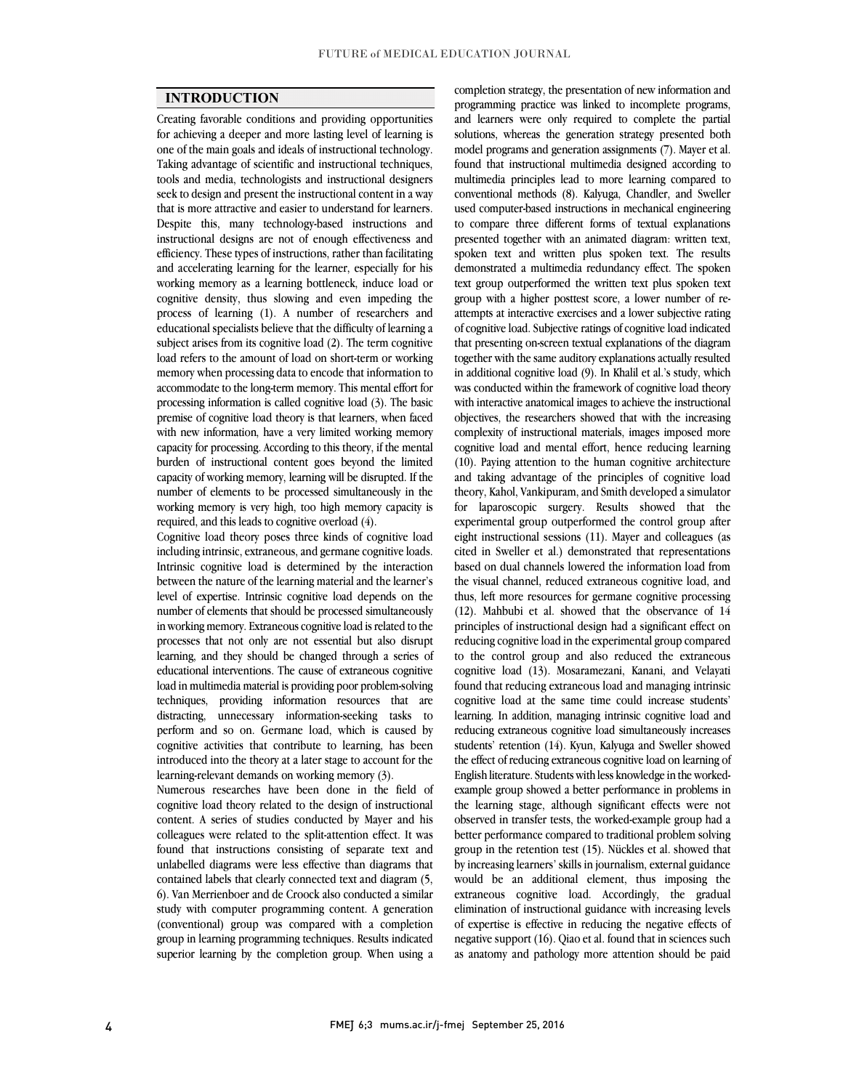$\overline{a}$  $\overline{a}$ 

## **INTRODUCTION**

 Creating favorable conditions and providing opportunities for achieving a deeper and more lasting level of learning is Taking advantage of scientific and instructional techniques, tools and media, technologists and instructional designers seek to design and present the instructional content in a way that is more attractive and easier to understand for learners. instructional designs are not of enough effectiveness and efficiency. These types of instructions, rather than facilitating and accelerating learning for the learner, especially for his working memory as a learning bottleneck, induce load or process of learning (1). A number of researchers and educational specialists believe that the difficulty of learning a subject arises from its cognitive load (2). The term cognitive load refers to the amount of load on short-term or working accommodate to the long-term memory. This mental effort for processing information is called cognitive load (3). The basic premise of cognitive load theory is that learners, when faced with fit w information, have a very immed working inemory<br>capacity for processing. According to this theory, if the mental burden of instructional content goes beyond the limited capacity of working memory, learning will be disrupted. If the number of elements to be processed simultaneously in the working memory is very high, too high memory capacity is required and this leads to consitive overload  $\left(\hat{\theta}\right)$ one of the main goals and ideals of instructional technology. Despite this, many technology-based instructions and cognitive density, thus slowing and even impeding the memory when processing data to encode that information to with new information, have a very limited working memory required, and this leads to cognitive overload (4).

 Cognitive load theory poses three kinds of cognitive load including intrinsic, extraneous, and germane cognitive loads. Intrinsic cognitive load is determined by the interaction level of expertise. Intrinsic cognitive load depends on the number of elements that should be processed simultaneously in working memory. Extraneous cognitive load is related to the processes that not only are not essential but also disrupt educational interventions. The cause of extraneous cognitive load in multimedia material is providing poor problem-solving techniques, providing information resources that are perform and so on. Germane load, which is caused by cognitive activities that contribute to learning, has been introduced into the theory at a later stage to account for the between the nature of the learning material and the learner's learning, and they should be changed through a series of distracting, unnecessary information-seeking tasks to learning-relevant demands on working memory (3).

 cognitive load theory related to the design of instructional content. A series of studies conducted by Mayer and his colleagues were related to the split-attention effect. It was found that instructions consisting of separate text and contained labels that clearly connected text and diagram (5, 6). Van Merrienboer and de Croock also conducted a similar study with computer programming content. A generation (conventional) group was compared with a completion stoup in tearning programming teenfiques. Results inticated<br>superior learning by the completion group. When using a Numerous researches have been done in the field of unlabelled diagrams were less effective than diagrams that group in learning programming techniques. Results indicated

 programming practice was linked to incomplete programs, and learners were only required to complete the partial solutions, whereas the generation strategy presented both found that instructional multimedia designed according to multimedia principles lead to more learning compared to conventional methods (8). Kalyuga, Chandler, and Sweller used computer-based instructions in mechanical engineering presented together with an animated diagram: written text, spoken text and written plus spoken text. The results demonstrated a multimedia redundancy effect. The spoken group with a higher posttest score, a lower number of re- $\frac{a}{b}$  attempts at interactive exercises and a lower subjective rating of cognitive load. Subjective ratings of cognitive load indicated that presenting on-screen textual explanations of the diagram in additional cognitive load (9). In Khalil et al.'s study, which was conducted within the framework of cognitive load theory with interactive anatomical images to achieve the instructional objectives, the researchers showed that with the increasing cognitive load and mental effort, hence reducing learning (10). Paying attention to the human cognitive architecture and taking advantage of the principles of cognitive load theory, Kahol, Vankipuram, and Smith developed a simulator experimental group outperformed the control group after eight instructional sessions (11). Mayer and colleagues (as cited in Sweller et al.) demonstrated that representations based on qual channels lowered the information load from<br>the visual channel, reduced extraneous cognitive load, and thus, left more resources for germane cognitive processing (12). Mahbubi et al. showed that the observance of 14 principles of instructional design had a significant effect on to the control group and also reduced the extraneous cognitive load (13). Mosaramezani, Kanani, and Velayati found that reducing extraneous load and managing intrinsic cognitive load at the same time could increase students' reducing extraneous cognitive load simultaneously increases students' retention (14). Kyun, Kalyuga and Sweller showed the effect of reducing extraneous cognitive load on learning of English literature. Students with less knowledge in the worked- the learning stage, although significant effects were not observed in transfer tests, the worked-example group had a better performance compared to traditional problem solving group in the retention test (15). Nückles et al. showed that by increasing rearriers sams in journalism, external gardance<br>would be an additional element, thus imposing the extraneous cognitive load. Accordingly, the gradual elimination of instructional guidance with increasing levels of expertise is effective in reducing the negative effects of as anatomy and pathology more attention should be paid completion strategy, the presentation of new information and model programs and generation assignments (7). Mayer et al. to compare three different forms of textual explanations text group outperformed the written text plus spoken text together with the same auditory explanations actually resulted complexity of instructional materials, images imposed more for laparoscopic surgery. Results showed that the based on dual channels lowered the information load from reducing cognitive load in the experimental group compared learning. In addition, managing intrinsic cognitive load and example group showed a better performance in problems in by increasing learners' skills in journalism, external guidance negative support (16). Qiao et al. found that in sciences such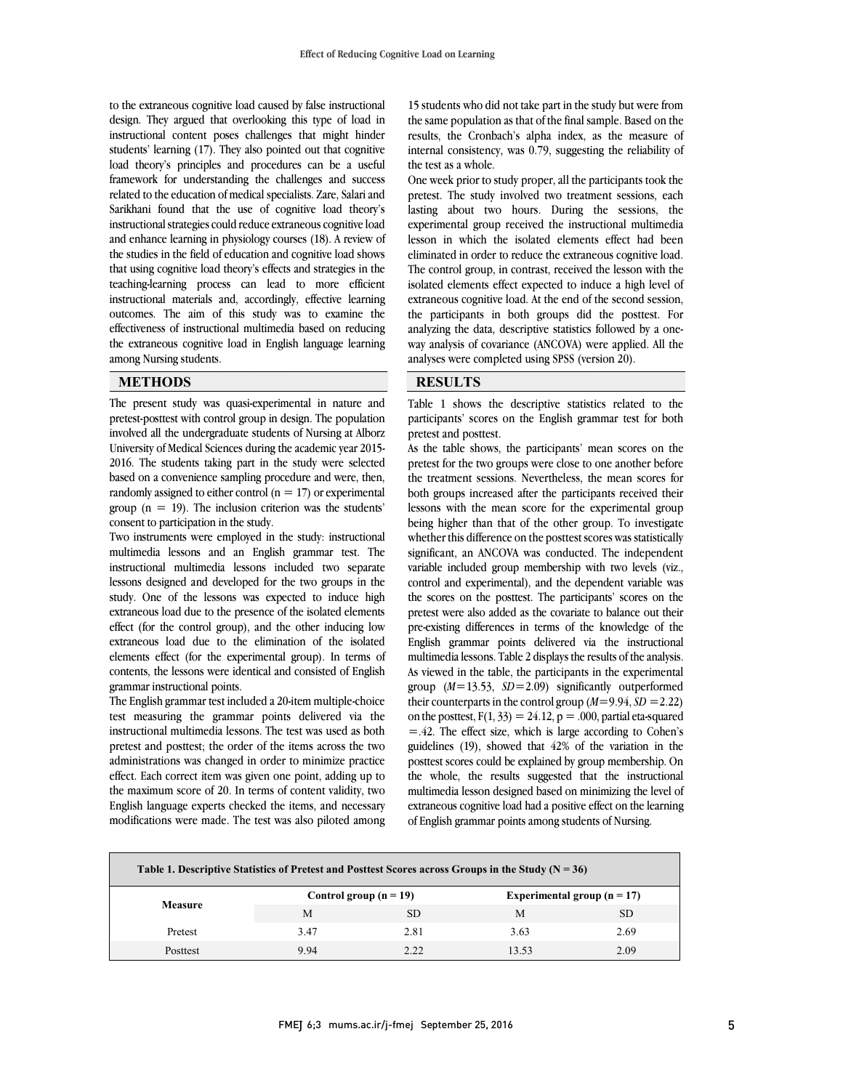to the extraneous cognitive load caused by false instructional design. They argued that overlooking this type of load in instructional content poses challenges that might hinder load theory's principles and procedures can be a useful framework for understanding the challenges and success related to the education of medical specialists. Zare, Salari and Sarikhani found that the use of cognitive load theory's and enhance learning in physiology courses (18). A review of the studies in the field of education and cognitive load shows that using cognitive load theory's effects and strategies in the teaching-learning process can lead to more efficient outcomes. The aim of this study was to examine the effectiveness of instructional multimedia based on reducing the extraneous cognitive load in English language learning students' learning (17). They also pointed out that cognitive instructional strategies could reduce extraneous cognitive load instructional materials and, accordingly, effective learning among Nursing students.

#### **METHODS**

 The present study was quasi-experimental in nature and pretest-posttest with control group in design. The population University of Medical Sciences during the academic year 2015- 2016. The students taking part in the study were selected based on a convenience sampling procedure and were, then, randomly assigned to either control  $(n = 17)$  or experimental group ( $n = 19$ ). The inclusion criterion was the students' involved all the undergraduate students of Nursing at Alborz consent to participation in the study.

 Two instruments were employed in the study: instructional multimedia lessons and an English grammar test. The instructional multimedia lessons included two separate study. One of the lessons was expected to induce high extraneous load due to the presence of the isolated elements effect (for the control group), and the other inducing low extraneous load due to the elimination of the isolated contents, the lessons were identical and consisted of English lessons designed and developed for the two groups in the elements effect (for the experimental group). In terms of grammar instructional points.

 The English grammar test included a 20-item multiple-choice instructional multimedia lessons. The test was used as both<br>instructional multimedia lessons. The test was used as both pretest and posttest; the order of the items across the two administrations was changed in order to minimize practice effect. Each correct item was given one point, adding up to the maximum score of 20. In terms of content validity, two<br>Earliek lagasses arguette shaded the items and accessor modifications were made. The test was also piloted among test measuring the grammar points delivered via the English language experts checked the items, and necessary

 15 students who did not take part in the study but were from the same population as that of the final sample. Based on the results, the Cronbach's alpha index, as the measure of internal consistency, was 0.79, suggesting the reliability of the test as a whole.

 pretest. The study involved two treatment sessions, each lasting about two hours. During the sessions, the lesson in which the isolated elements effect had been eliminated in order to reduce the extraneous cognitive load. The control group, in contrast, received the lesson with the isolated elements effect expected to induce a high level of the participants in both groups did the posttest. For analyzing the data, descriptive statistics followed by a one- way analysis of covariance (ANCOVA) were applied. All the  $\overline{a}$ One week prior to study proper, all the participants took the experimental group received the instructional multimedia extraneous cognitive load. At the end of the second session, analyses were completed using SPSS (version 20).

## **RESULTS**

 Table 1 shows the descriptive statistics related to the participants' scores on the English grammar test for both pretest and posttest.

 As the table shows, the participants' mean scores on the pretest for the two groups were close to one another before the treatment sessions. Nevertheless, the mean scores for both groups increased after the participants received their being higher than that of the other group. To investigate whether this difference on the posttest scores was statistically significant, an ANCOVA was conducted. The independent variable included group membership with two levels (viz., the scores on the posttest. The participants' scores on the pretest were also added as the covariate to balance out their pre-existing differences in terms of the knowledge of the English grammar points delivered via the instructional As viewed in the table, the participants in the experimental group (*M*=13.53, *SD*=2.09) significantly outperformed their counterparts in the control group (*M*=9.94, *SD* =2.22) on the posttest,  $F(1, 33) = 24.12$ ,  $p = .000$ , partial eta-squared<br> $= 42$ . The effect site activity is large associated to Galaxia guidelines (19), showed that 42% of the variation in the posttest scores could be explained by group membership. On the whole, the results suggested that the instructional extraneous cognitive load had a positive effect on the learning  $\ddot{\phantom{0}}$ lessons with the mean score for the experimental group control and experimental), and the dependent variable was multimedia lessons. Table 2 displays the results of the analysis. =.42. The effect size, which is large according to Cohen's multimedia lesson designed based on minimizing the level of of English grammar points among students of Nursing.

| Table 1. Descriptive Statistics of Pretest and Posttest Scores across Groups in the Study ( $N = 36$ ) |                          |      |                               |      |  |  |  |  |
|--------------------------------------------------------------------------------------------------------|--------------------------|------|-------------------------------|------|--|--|--|--|
| <b>Measure</b>                                                                                         | Control group $(n = 19)$ |      | Experimental group $(n = 17)$ |      |  |  |  |  |
|                                                                                                        | M                        | SD.  | M                             | SD.  |  |  |  |  |
| Pretest                                                                                                | 3.47                     | 2.81 | 3.63                          | 2.69 |  |  |  |  |
| Posttest                                                                                               | 9.94                     | 2.22 | 13.53                         | 2.09 |  |  |  |  |